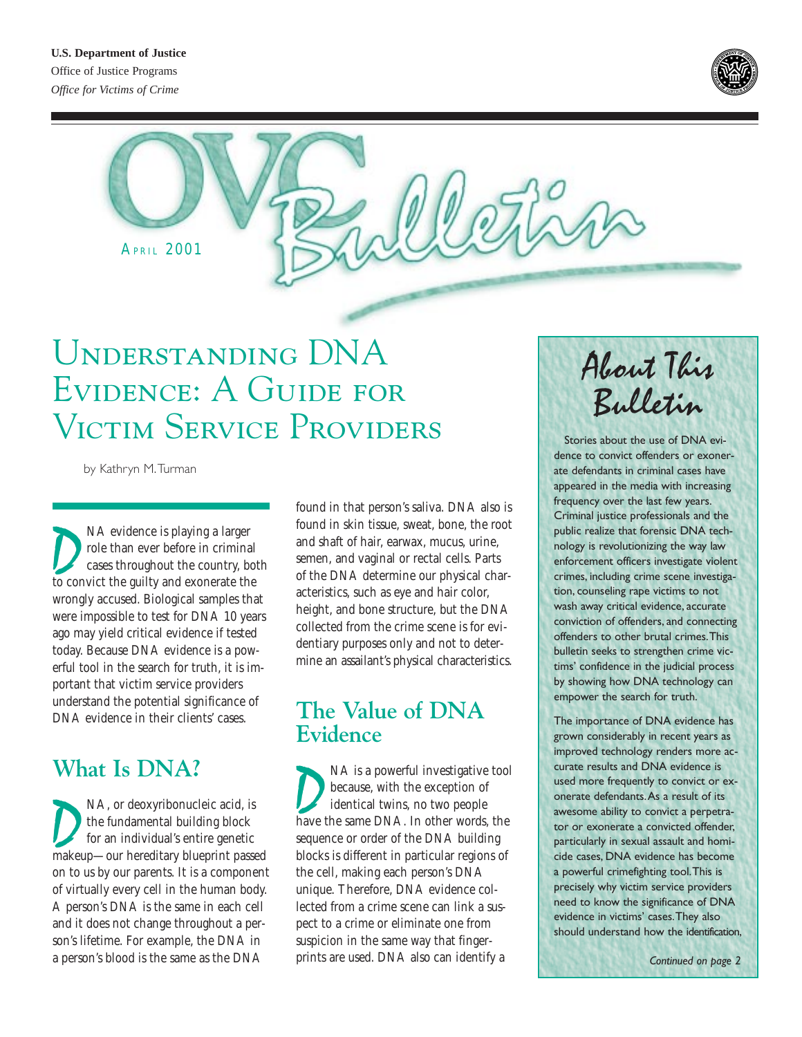

APRIL 2001

# Understanding DNA Evidence: A Guide for Victim Service Providers

by Kathryn M.Turman

NA evidence is playing a larger<br>role than ever before in criminal<br>cases throughout the country, bo<br>to convict the guilty and exonerate the role than ever before in criminal cases throughout the country, both wrongly accused. Biological samples that were impossible to test for DNA 10 years ago may yield critical evidence if tested today. Because DNA evidence is a powerful tool in the search for truth, it is important that victim service providers understand the potential significance of DNA evidence in their clients' cases.

# **What Is DNA?**

D NA, or deoxyribonucleic acid, is makeup—our hereditary blueprint passed the fundamental building block for an individual's entire genetic on to us by our parents. It is a component of virtually every cell in the human body. A person's DNA is the same in each cell and it does not change throughout a person's lifetime. For example, the DNA in a person's blood is the same as the DNA

found in that person's saliva. DNA also is found in skin tissue, sweat, bone, the root and shaft of hair, earwax, mucus, urine, semen, and vaginal or rectal cells. Parts of the DNA determine our physical characteristics, such as eye and hair color, height, and bone structure, but the DNA collected from the crime scene is for evidentiary purposes only and not to determine an assailant's physical characteristics.

### **The Value of DNA Evidence**

D NA is a powerful investigative tool have the same DNA. In other words, the because, with the exception of identical twins, no two people sequence or order of the DNA building blocks is different in particular regions of the cell, making each person's DNA unique. Therefore, DNA evidence collected from a crime scene can link a suspect to a crime or eliminate one from suspicion in the same way that fingerprints are used. DNA also can identify a



Stories about the use of DNA evidence to convict offenders or exonerate defendants in criminal cases have appeared in the media with increasing frequency over the last few years. Criminal justice professionals and the public realize that forensic DNA technology is revolutionizing the way law enforcement officers investigate violent crimes, including crime scene investigation, counseling rape victims to not wash away critical evidence, accurate conviction of offenders, and connecting offenders to other brutal crimes.This bulletin seeks to strengthen crime victims' confidence in the judicial process by showing how DNA technology can empower the search for truth.

The importance of DNA evidence has grown considerably in recent years as improved technology renders more accurate results and DNA evidence is used more frequently to convict or exonerate defendants.As a result of its awesome ability to convict a perpetrator or exonerate a convicted offender, particularly in sexual assault and homicide cases, DNA evidence has become a powerful crimefighting tool.This is precisely why victim service providers need to know the significance of DNA evidence in victims' cases.They also should understand how the identification,

*Continued on page 2*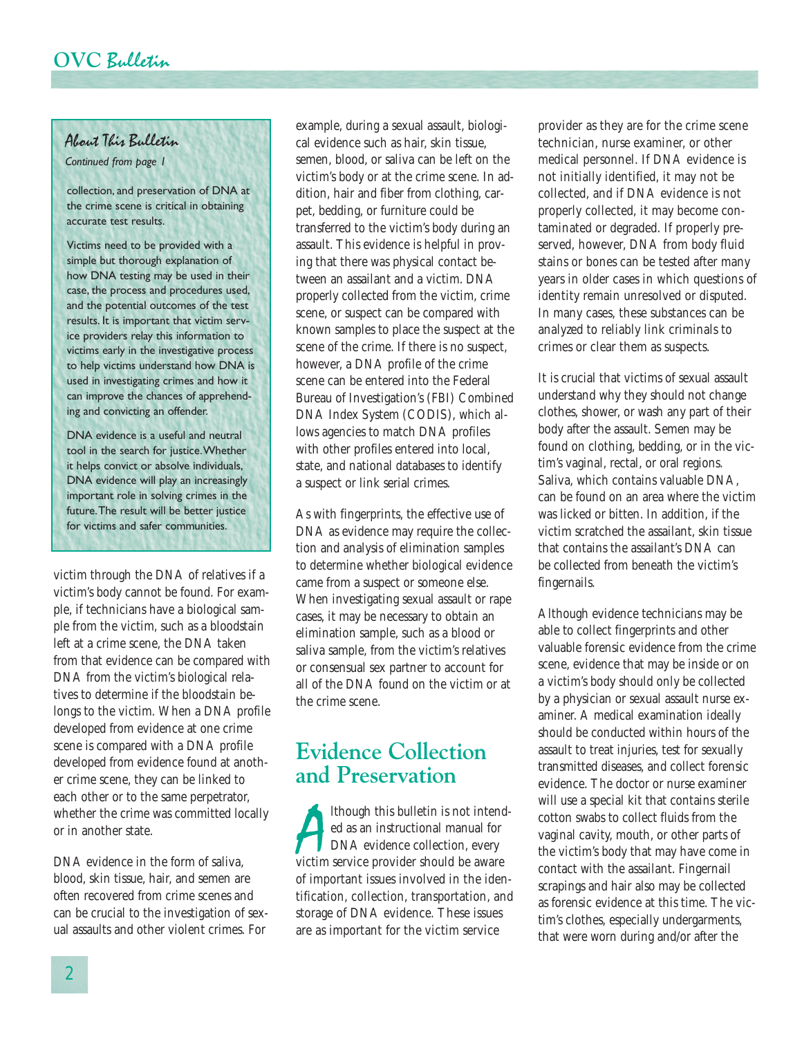#### About This Bulletin

*Continued from page 1*

collection, and preservation of DNA at the crime scene is critical in obtaining accurate test results.

Victims need to be provided with a simple but thorough explanation of how DNA testing may be used in their case, the process and procedures used, and the potential outcomes of the test results. It is important that victim service providers relay this information to victims early in the investigative process to help victims understand how DNA is used in investigating crimes and how it can improve the chances of apprehending and convicting an offender.

DNA evidence is a useful and neutral tool in the search for justice.Whether it helps convict or absolve individuals, DNA evidence will play an increasingly important role in solving crimes in the future.The result will be better justice for victims and safer communities.

victim through the DNA of relatives if a victim's body cannot be found. For example, if technicians have a biological sample from the victim, such as a bloodstain left at a crime scene, the DNA taken from that evidence can be compared with DNA from the victim's biological relatives to determine if the bloodstain belongs to the victim. When a DNA profile developed from evidence at one crime scene is compared with a DNA profile developed from evidence found at another crime scene, they can be linked to each other or to the same perpetrator, whether the crime was committed locally or in another state.

DNA evidence in the form of saliva blood, skin tissue, hair, and semen are often recovered from crime scenes and can be crucial to the investigation of sexual assaults and other violent crimes. For

example, during a sexual assault, biological evidence such as hair, skin tissue, semen, blood, or saliva can be left on the victim's body or at the crime scene. In addition, hair and fiber from clothing, carpet, bedding, or furniture could be transferred to the victim's body during an assault. This evidence is helpful in proving that there was physical contact between an assailant and a victim. DNA properly collected from the victim, crime scene, or suspect can be compared with known samples to place the suspect at the scene of the crime. If there is no suspect, however, a DNA profile of the crime scene can be entered into the Federal Bureau of Investigation's (FBI) Combined DNA Index System (CODIS), which allows agencies to match DNA profiles with other profiles entered into local, state, and national databases to identify a suspect or link serial crimes.

As with fingerprints, the effective use of DNA as evidence may require the collection and analysis of elimination samples to determine whether biological evidence came from a suspect or someone else. When investigating sexual assault or rape cases, it may be necessary to obtain an elimination sample, such as a blood or saliva sample, from the victim's relatives or consensual sex partner to account for all of the DNA found on the victim or at the crime scene.

#### **Evidence Collection and Preservation**

Ithough this bulletin is not intended as an instructional manual for<br>DNA evidence collection, every<br>victim service provider should be aware lthough this bulletin is not intended as an instructional manual for DNA evidence collection, every of important issues involved in the identification, collection, transportation, and storage of DNA evidence. These issues are as important for the victim service

provider as they are for the crime scene technician, nurse examiner, or other medical personnel. If DNA evidence is not initially identified, it may not be collected, and if DNA evidence is not properly collected, it may become contaminated or degraded. If properly preserved, however, DNA from body fluid stains or bones can be tested after many years in older cases in which questions of identity remain unresolved or disputed. In many cases, these substances can be analyzed to reliably link criminals to crimes or clear them as suspects.

It is crucial that victims of sexual assault understand why they should not change clothes, shower, or wash any part of their body after the assault. Semen may be found on clothing, bedding, or in the victim's vaginal, rectal, or oral regions. Saliva, which contains valuable DNA, can be found on an area where the victim was licked or bitten. In addition, if the victim scratched the assailant, skin tissue that contains the assailant's DNA can be collected from beneath the victim's fingernails.

Although evidence technicians may be able to collect fingerprints and other valuable forensic evidence from the crime scene, evidence that may be inside or on a victim's body should only be collected by a physician or sexual assault nurse examiner. A medical examination ideally should be conducted within hours of the assault to treat injuries, test for sexually transmitted diseases, and collect forensic evidence. The doctor or nurse examiner will use a special kit that contains sterile cotton swabs to collect fluids from the vaginal cavity, mouth, or other parts of the victim's body that may have come in contact with the assailant. Fingernail scrapings and hair also may be collected as forensic evidence at this time. The victim's clothes, especially undergarments, that were worn during and/or after the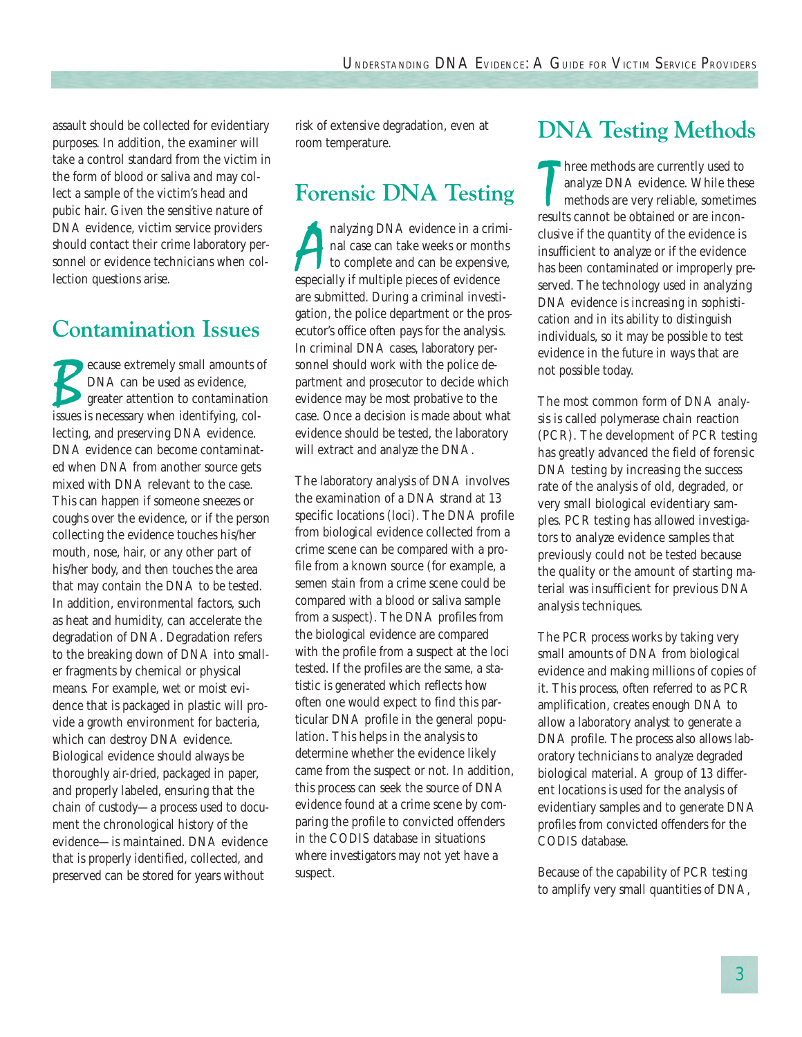assault should be collected for evidentiary purposes. In addition, the examiner will take a control standard from the victim in the form of blood or saliva and may collect a sample of the victim's head and pubic hair. Given the sensitive nature of DNA evidence, victim service providers should contact their crime laboratory personnel or evidence technicians when collection questions arise.

#### **Contamination Issues**

**BECAUSE EXECUTE EXECUTE SERVIS EN SURVEYOR EXECUTE SERVIS EN SURVEYOR EXECUTE SIGNATION SERVIS EN SURVEYOR EN SURVEYOR EN SURVEYOR EN SURVEYOR EN SURVEYOR EN SURVEYOR EN SURVEYOR EN SURVEYOR EN SURVEYOR EN SURVEYOR EN SUR** DNA can be used as evidence, greater attention to contamination lecting, and preserving DNA evidence. DNA evidence can become contaminated when DNA from another source gets mixed with DNA relevant to the case. This can happen if someone sneezes or coughs over the evidence, or if the person collecting the evidence touches his/her mouth, nose, hair, or any other part of his/her body, and then touches the area that may contain the DNA to be tested. In addition, environmental factors, such as heat and humidity, can accelerate the degradation of DNA. Degradation refers to the breaking down of DNA into smaller fragments by chemical or physical means. For example, wet or moist evidence that is packaged in plastic will provide a growth environment for bacteria, which can destroy DNA evidence. Biological evidence should always be thoroughly air-dried, packaged in paper, and properly labeled, ensuring that the chain of custody—a process used to document the chronological history of the evidence—is maintained. DNA evidence that is properly identified, collected, and preserved can be stored for years without

risk of extensive degradation, even at room temperature.

# **Forensic DNA Testing**

nalyzing DNA evidence in a criminal case can take weeks or montly to complete and can be expensive<br>specially if multiple pieces of evidence nalyzing DNA evidence in a criminal case can take weeks or months to complete and can be expensive, are submitted. During a criminal investigation, the police department or the prosecutor's office often pays for the analysis. In criminal DNA cases, laboratory personnel should work with the police department and prosecutor to decide which evidence may be most probative to the case. Once a decision is made about what evidence should be tested, the laboratory will extract and analyze the DNA.

The laboratory analysis of DNA involves the examination of a DNA strand at 13 specific locations (loci). The DNA profile from biological evidence collected from a crime scene can be compared with a profile from a known source (for example, a semen stain from a crime scene could be compared with a blood or saliva sample from a suspect). The DNA profiles from the biological evidence are compared with the profile from a suspect at the loci tested. If the profiles are the same, a statistic is generated which reflects how often one would expect to find this particular DNA profile in the general population. This helps in the analysis to determine whether the evidence likely came from the suspect or not. In addition, this process can seek the source of DNA evidence found at a crime scene by comparing the profile to convicted offenders in the CODIS database in situations where investigators may not yet have a suspect.

## **DNA Testing Methods**

Three methods are currently used to<br>analyze DNA evidence. While the<br>methods are very reliable, sometim<br>results cannot be obtained or are inconhree methods are currently used to analyze DNA evidence. While these methods are very reliable, sometimes clusive if the quantity of the evidence is insufficient to analyze or if the evidence has been contaminated or improperly preserved. The technology used in analyzing DNA evidence is increasing in sophistication and in its ability to distinguish individuals, so it may be possible to test evidence in the future in ways that are not possible today.

The most common form of DNA analysis is called polymerase chain reaction (PCR). The development of PCR testing has greatly advanced the field of forensic DNA testing by increasing the success rate of the analysis of old, degraded, or very small biological evidentiary samples. PCR testing has allowed investigators to analyze evidence samples that previously could not be tested because the quality or the amount of starting material was insufficient for previous DNA analysis techniques.

The PCR process works by taking very small amounts of DNA from biological evidence and making millions of copies of it. This process, often referred to as PCR amplification, creates enough DNA to allow a laboratory analyst to generate a DNA profile. The process also allows laboratory technicians to analyze degraded biological material. A group of 13 different locations is used for the analysis of evidentiary samples and to generate DNA profiles from convicted offenders for the CODIS database.

Because of the capability of PCR testing to amplify very small quantities of DNA,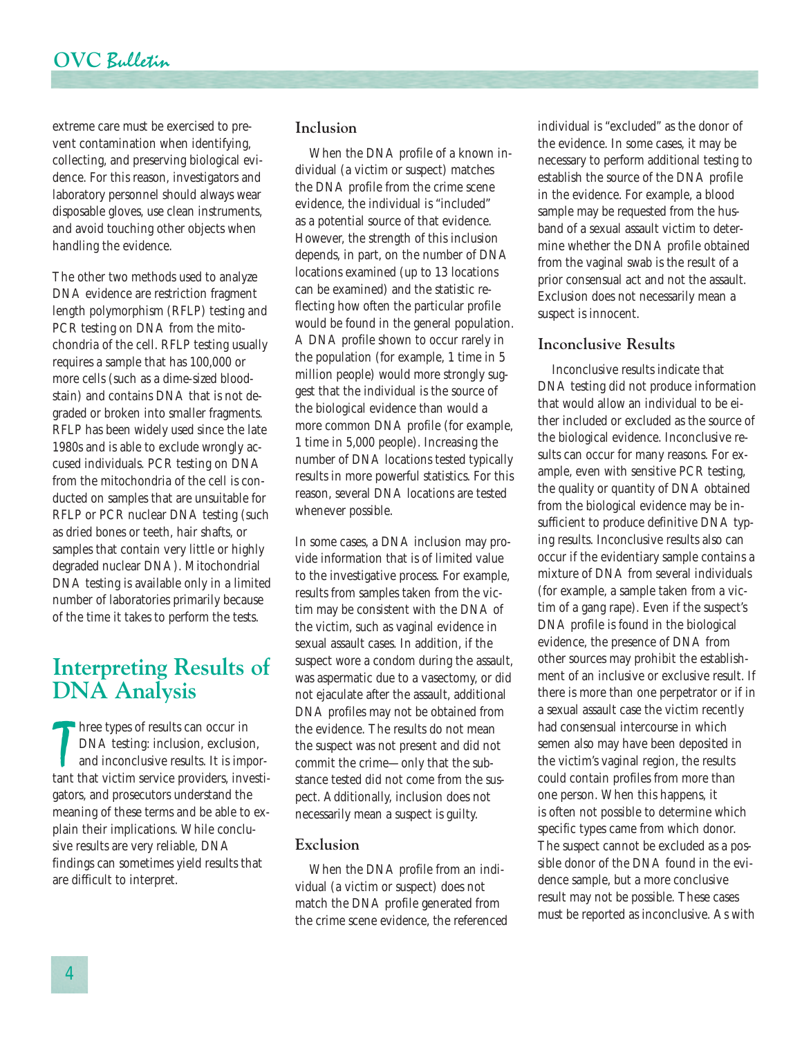extreme care must be exercised to prevent contamination when identifying, collecting, and preserving biological evidence. For this reason, investigators and laboratory personnel should always wear disposable gloves, use clean instruments, and avoid touching other objects when handling the evidence.

The other two methods used to analyze DNA evidence are restriction fragment length polymorphism (RFLP) testing and PCR testing on DNA from the mitochondria of the cell. RFLP testing usually requires a sample that has 100,000 or more cells (such as a dime-sized bloodstain) and contains DNA that is not degraded or broken into smaller fragments. RFLP has been widely used since the late 1980s and is able to exclude wrongly accused individuals. PCR testing on DNA from the mitochondria of the cell is conducted on samples that are unsuitable for RFLP or PCR nuclear DNA testing (such as dried bones or teeth, hair shafts, or samples that contain very little or highly degraded nuclear DNA). Mitochondrial DNA testing is available only in a limited number of laboratories primarily because of the time it takes to perform the tests.

### **Interpreting Results of DNA Analysis**

The types of results can occur in<br>
DNA testing: inclusion, exclusion,<br>
and inconclusive results. It is important that victim service providers, investihree types of results can occur in DNA testing: inclusion, exclusion, and inconclusive results. It is imporgators, and prosecutors understand the meaning of these terms and be able to explain their implications. While conclusive results are very reliable, DNA findings can sometimes yield results that are difficult to interpret.

#### **Inclusion**

When the DNA profile of a known individual (a victim or suspect) matches the DNA profile from the crime scene evidence, the individual is "included" as a potential source of that evidence. However, the strength of this inclusion depends, in part, on the number of DNA locations examined (up to 13 locations can be examined) and the statistic reflecting how often the particular profile would be found in the general population. A DNA profile shown to occur rarely in the population (for example, 1 time in 5 million people) would more strongly suggest that the individual is the source of the biological evidence than would a more common DNA profile (for example, 1 time in 5,000 people). Increasing the number of DNA locations tested typically results in more powerful statistics. For this reason, several DNA locations are tested whenever possible.

In some cases, a DNA inclusion may provide information that is of limited value to the investigative process. For example, results from samples taken from the victim may be consistent with the DNA of the victim, such as vaginal evidence in sexual assault cases. In addition, if the suspect wore a condom during the assault, was aspermatic due to a vasectomy, or did not ejaculate after the assault, additional DNA profiles may not be obtained from the evidence. The results do not mean the suspect was not present and did not commit the crime—only that the substance tested did not come from the suspect. Additionally, inclusion does not necessarily mean a suspect is guilty.

#### **Exclusion**

When the DNA profile from an individual (a victim or suspect) does not match the DNA profile generated from the crime scene evidence, the referenced individual is "excluded" as the donor of the evidence. In some cases, it may be necessary to perform additional testing to establish the source of the DNA profile in the evidence. For example, a blood sample may be requested from the husband of a sexual assault victim to determine whether the DNA profile obtained from the vaginal swab is the result of a prior consensual act and not the assault. Exclusion does not necessarily mean a suspect is innocent.

#### **Inconclusive Results**

Inconclusive results indicate that DNA testing did not produce information that would allow an individual to be either included or excluded as the source of the biological evidence. Inconclusive results can occur for many reasons. For example, even with sensitive PCR testing, the quality or quantity of DNA obtained from the biological evidence may be insufficient to produce definitive DNA typing results. Inconclusive results also can occur if the evidentiary sample contains a mixture of DNA from several individuals (for example, a sample taken from a victim of a gang rape). Even if the suspect's DNA profile is found in the biological evidence, the presence of DNA from other sources may prohibit the establishment of an inclusive or exclusive result. If there is more than one perpetrator or if in a sexual assault case the victim recently had consensual intercourse in which semen also may have been deposited in the victim's vaginal region, the results could contain profiles from more than one person. When this happens, it is often not possible to determine which specific types came from which donor. The suspect cannot be excluded as a possible donor of the DNA found in the evidence sample, but a more conclusive result may not be possible. These cases must be reported as inconclusive. As with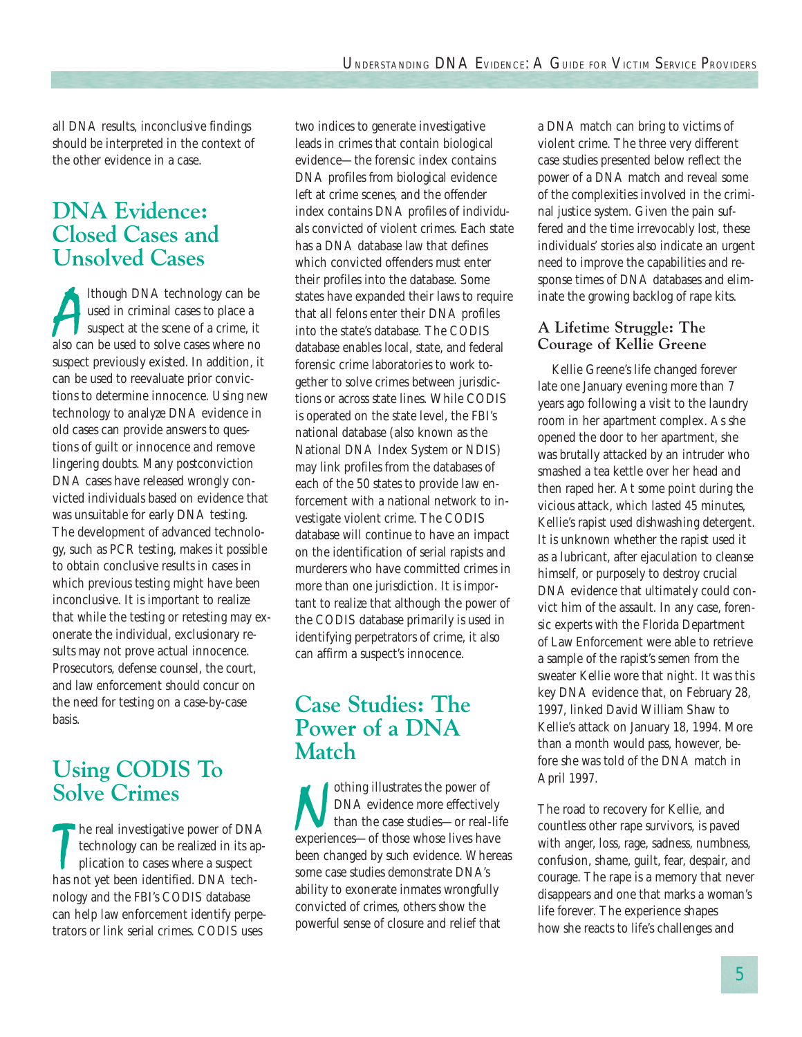all DNA results, inconclusive findings should be interpreted in the context of the other evidence in a case.

### **DNA Evidence: Closed Cases and Unsolved Cases**

Ithough DNA technology can be used in criminal cases to place a suspect at the scene of a crime, it also can be used to solve cases where no lthough DNA technology can be used in criminal cases to place a suspect at the scene of a crime, it suspect previously existed. In addition, it can be used to reevaluate prior convictions to determine innocence. Using new technology to analyze DNA evidence in old cases can provide answers to questions of guilt or innocence and remove lingering doubts. Many postconviction DNA cases have released wrongly convicted individuals based on evidence that was unsuitable for early DNA testing. The development of advanced technology, such as PCR testing, makes it possible to obtain conclusive results in cases in which previous testing might have been inconclusive. It is important to realize that while the testing or retesting may exonerate the individual, exclusionary results may not prove actual innocence. Prosecutors, defense counsel, the court, and law enforcement should concur on the need for testing on a case-by-case basis.

### **Using CODIS To Solve Crimes**

The real investigative power of DN<sub>4</sub><br>technology can be realized in its application to cases where a suspect<br>has not yet been identified. DNA techhe real investigative power of DNA technology can be realized in its application to cases where a suspect nology and the FBI's CODIS database can help law enforcement identify perpetrators or link serial crimes. CODIS uses

two indices to generate investigative leads in crimes that contain biological evidence—the forensic index contains DNA profiles from biological evidence left at crime scenes, and the offender index contains DNA profiles of individuals convicted of violent crimes. Each state has a DNA database law that defines which convicted offenders must enter their profiles into the database. Some states have expanded their laws to require that all felons enter their DNA profiles into the state's database. The CODIS database enables local, state, and federal forensic crime laboratories to work together to solve crimes between jurisdictions or across state lines. While CODIS is operated on the state level, the FBI's national database (also known as the National DNA Index System or NDIS) may link profiles from the databases of each of the 50 states to provide law enforcement with a national network to investigate violent crime. The CODIS database will continue to have an impact on the identification of serial rapists and murderers who have committed crimes in more than one jurisdiction. It is important to realize that although the power of the CODIS database primarily is used in identifying perpetrators of crime, it also can affirm a suspect's innocence.

### **Case Studies: The Power of a DNA Match**

othing illustrates the power of<br>DNA evidence more effective<br>than the case studies—or real-<br>experiences—of those whose lives has DNA evidence more effectively than the case studies—or real-life experiences—of those whose lives have been changed by such evidence. Whereas some case studies demonstrate DNA's ability to exonerate inmates wrongfully convicted of crimes, others show the powerful sense of closure and relief that

a DNA match can bring to victims of violent crime. The three very different case studies presented below reflect the power of a DNA match and reveal some of the complexities involved in the criminal justice system. Given the pain suffered and the time irrevocably lost, these individuals' stories also indicate an urgent need to improve the capabilities and response times of DNA databases and eliminate the growing backlog of rape kits.

#### **A Lifetime Struggle: The Courage of Kellie Greene**

Kellie Greene's life changed forever late one January evening more than 7 years ago following a visit to the laundry room in her apartment complex. As she opened the door to her apartment, she was brutally attacked by an intruder who smashed a tea kettle over her head and then raped her. At some point during the vicious attack, which lasted 45 minutes, Kellie's rapist used dishwashing detergent. It is unknown whether the rapist used it as a lubricant, after ejaculation to cleanse himself, or purposely to destroy crucial DNA evidence that ultimately could convict him of the assault. In any case, forensic experts with the Florida Department of Law Enforcement were able to retrieve a sample of the rapist's semen from the sweater Kellie wore that night. It was this key DNA evidence that, on February 28, 1997, linked David William Shaw to Kellie's attack on January 18, 1994. More than a month would pass, however, before she was told of the DNA match in April 1997.

The road to recovery for Kellie, and countless other rape survivors, is paved with anger, loss, rage, sadness, numbness, confusion, shame, guilt, fear, despair, and courage. The rape is a memory that never disappears and one that marks a woman's life forever. The experience shapes how she reacts to life's challenges and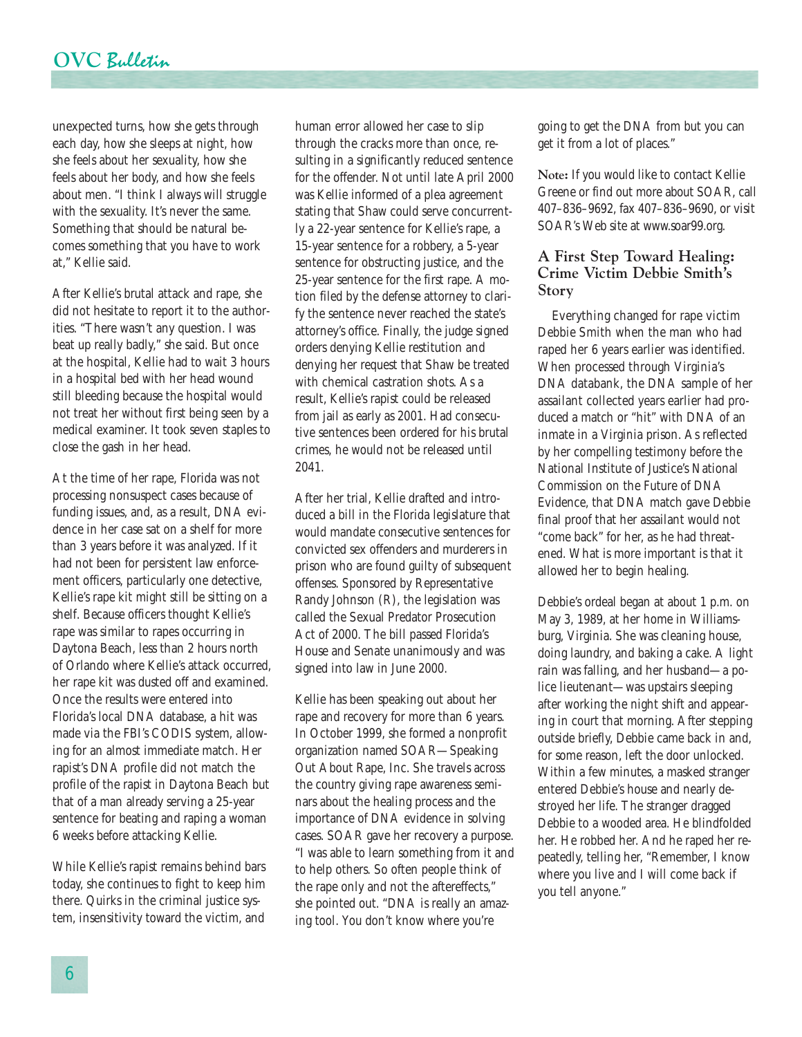unexpected turns, how she gets through each day, how she sleeps at night, how she feels about her sexuality, how she feels about her body, and how she feels about men. "I think I always will struggle with the sexuality. It's never the same. Something that should be natural becomes something that you have to work at," Kellie said.

After Kellie's brutal attack and rape, she did not hesitate to report it to the authorities. "There wasn't any question. I was beat up really badly," she said. But once at the hospital, Kellie had to wait 3 hours in a hospital bed with her head wound still bleeding because the hospital would not treat her without first being seen by a medical examiner. It took seven staples to close the gash in her head.

At the time of her rape, Florida was not processing nonsuspect cases because of funding issues, and, as a result, DNA evidence in her case sat on a shelf for more than 3 years before it was analyzed. If it had not been for persistent law enforcement officers, particularly one detective, Kellie's rape kit might still be sitting on a shelf. Because officers thought Kellie's rape was similar to rapes occurring in Daytona Beach, less than 2 hours north of Orlando where Kellie's attack occurred, her rape kit was dusted off and examined. Once the results were entered into Florida's local DNA database, a hit was made via the FBI's CODIS system, allowing for an almost immediate match. Her rapist's DNA profile did not match the profile of the rapist in Daytona Beach but that of a man already serving a 25-year sentence for beating and raping a woman 6 weeks before attacking Kellie.

While Kellie's rapist remains behind bars today, she continues to fight to keep him there. Quirks in the criminal justice system, insensitivity toward the victim, and

human error allowed her case to slip through the cracks more than once, resulting in a significantly reduced sentence for the offender. Not until late April 2000 was Kellie informed of a plea agreement stating that Shaw could serve concurrently a 22-year sentence for Kellie's rape, a 15-year sentence for a robbery, a 5-year sentence for obstructing justice, and the 25-year sentence for the first rape. A motion filed by the defense attorney to clarify the sentence never reached the state's attorney's office. Finally, the judge signed orders denying Kellie restitution and denying her request that Shaw be treated with chemical castration shots. As a result, Kellie's rapist could be released from jail as early as 2001. Had consecutive sentences been ordered for his brutal crimes, he would not be released until 2041.

After her trial, Kellie drafted and introduced a bill in the Florida legislature that would mandate consecutive sentences for convicted sex offenders and murderers in prison who are found guilty of subsequent offenses. Sponsored by Representative Randy Johnson (R), the legislation was called the Sexual Predator Prosecution Act of 2000. The bill passed Florida's House and Senate unanimously and was signed into law in June 2000.

Kellie has been speaking out about her rape and recovery for more than 6 years. In October 1999, she formed a nonprofit organization named SOAR—Speaking Out About Rape, Inc. She travels across the country giving rape awareness seminars about the healing process and the importance of DNA evidence in solving cases. SOAR gave her recovery a purpose. "I was able to learn something from it and to help others. So often people think of the rape only and not the aftereffects," she pointed out. "DNA is really an amazing tool. You don't know where you're

going to get the DNA from but you can get it from a lot of places."

**Note:** If you would like to contact Kellie Greene or find out more about SOAR, call 407–836–9692, fax 407–836–9690, or visit SOAR's Web site at www.soar99.org.

#### **A First Step Toward Healing: Crime Victim Debbie Smith's Story**

Everything changed for rape victim Debbie Smith when the man who had raped her 6 years earlier was identified. When processed through Virginia's DNA databank, the DNA sample of her assailant collected years earlier had produced a match or "hit" with DNA of an inmate in a Virginia prison. As reflected by her compelling testimony before the National Institute of Justice's National Commission on the Future of DNA Evidence, that DNA match gave Debbie final proof that her assailant would not "come back" for her, as he had threatened. What is more important is that it allowed her to begin healing.

Debbie's ordeal began at about 1 p.m. on May 3, 1989, at her home in Williamsburg, Virginia. She was cleaning house, doing laundry, and baking a cake. A light rain was falling, and her husband—a police lieutenant—was upstairs sleeping after working the night shift and appearing in court that morning. After stepping outside briefly, Debbie came back in and, for some reason, left the door unlocked. Within a few minutes, a masked stranger entered Debbie's house and nearly destroyed her life. The stranger dragged Debbie to a wooded area. He blindfolded her. He robbed her. And he raped her repeatedly, telling her, "Remember, I know where you live and I will come back if you tell anyone."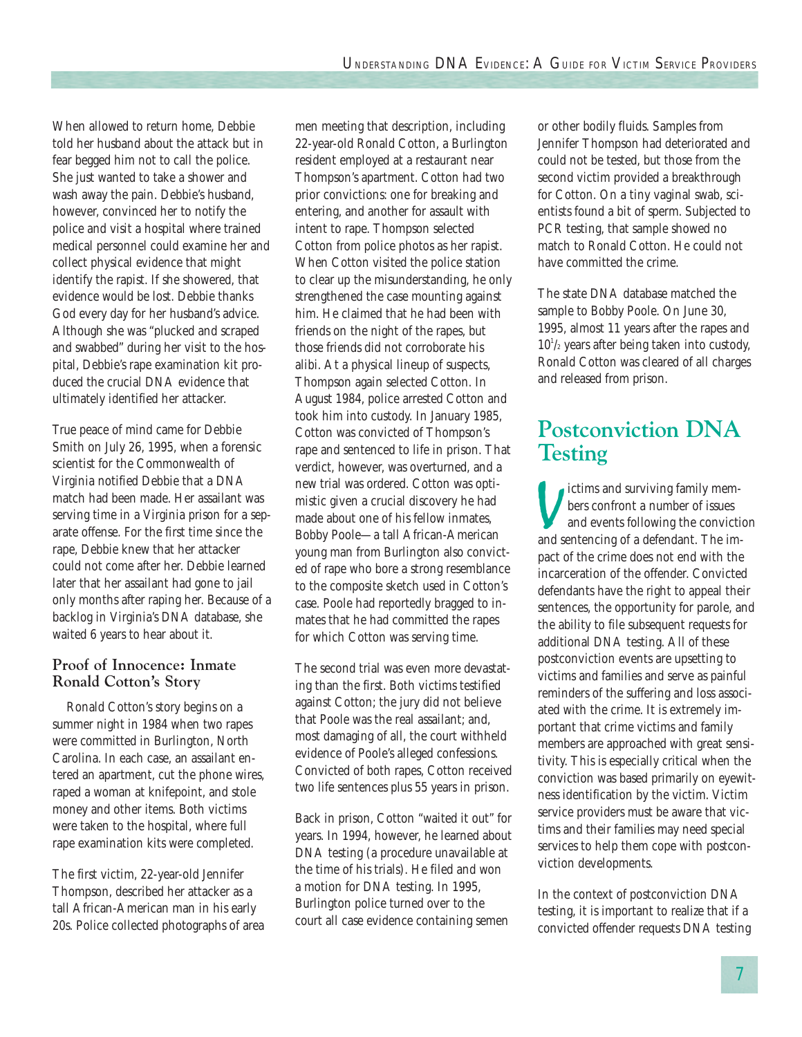When allowed to return home, Debbie told her husband about the attack but in fear begged him not to call the police. She just wanted to take a shower and wash away the pain. Debbie's husband, however, convinced her to notify the police and visit a hospital where trained medical personnel could examine her and collect physical evidence that might identify the rapist. If she showered, that evidence would be lost. Debbie thanks God every day for her husband's advice. Although she was "plucked and scraped and swabbed" during her visit to the hospital, Debbie's rape examination kit produced the crucial DNA evidence that ultimately identified her attacker.

True peace of mind came for Debbie Smith on July 26, 1995, when a forensic scientist for the Commonwealth of Virginia notified Debbie that a DNA match had been made. Her assailant was serving time in a Virginia prison for a separate offense. For the first time since the rape, Debbie knew that her attacker could not come after her. Debbie learned later that her assailant had gone to jail only months after raping her. Because of a backlog in Virginia's DNA database, she waited 6 years to hear about it.

#### **Proof of Innocence: Inmate Ronald Cotton's Story**

Ronald Cotton's story begins on a summer night in 1984 when two rapes were committed in Burlington, North Carolina. In each case, an assailant entered an apartment, cut the phone wires, raped a woman at knifepoint, and stole money and other items. Both victims were taken to the hospital, where full rape examination kits were completed.

The first victim, 22-year-old Jennifer Thompson, described her attacker as a tall African-American man in his early 20s. Police collected photographs of area

men meeting that description, including 22-year-old Ronald Cotton, a Burlington resident employed at a restaurant near Thompson's apartment. Cotton had two prior convictions: one for breaking and entering, and another for assault with intent to rape. Thompson selected Cotton from police photos as her rapist. When Cotton visited the police station to clear up the misunderstanding, he only strengthened the case mounting against him. He claimed that he had been with friends on the night of the rapes, but those friends did not corroborate his alibi. At a physical lineup of suspects, Thompson again selected Cotton. In August 1984, police arrested Cotton and took him into custody. In January 1985, Cotton was convicted of Thompson's rape and sentenced to life in prison. That verdict, however, was overturned, and a new trial was ordered. Cotton was optimistic given a crucial discovery he had made about one of his fellow inmates, Bobby Poole—a tall African-American young man from Burlington also convicted of rape who bore a strong resemblance to the composite sketch used in Cotton's case. Poole had reportedly bragged to inmates that he had committed the rapes for which Cotton was serving time.

The second trial was even more devastating than the first. Both victims testified against Cotton; the jury did not believe that Poole was the real assailant; and, most damaging of all, the court withheld evidence of Poole's alleged confessions. Convicted of both rapes, Cotton received two life sentences plus 55 years in prison.

Back in prison, Cotton "waited it out" for years. In 1994, however, he learned about DNA testing (a procedure unavailable at the time of his trials). He filed and won a motion for DNA testing. In 1995, Burlington police turned over to the court all case evidence containing semen

or other bodily fluids. Samples from Jennifer Thompson had deteriorated and could not be tested, but those from the second victim provided a breakthrough for Cotton. On a tiny vaginal swab, scientists found a bit of sperm. Subjected to PCR testing, that sample showed no match to Ronald Cotton. He could not have committed the crime.

The state DNA database matched the sample to Bobby Poole. On June 30, 1995, almost 11 years after the rapes and  $10^{1/2}$  years after being taken into custody, Ronald Cotton was cleared of all charges and released from prison.

### **Postconviction DNA Testing**

In the same surviving family members confront a number of issues<br>and events following the conviction and sentencing of a defendant. The imictims and surviving family members confront a number of issues and events following the conviction pact of the crime does not end with the incarceration of the offender. Convicted defendants have the right to appeal their sentences, the opportunity for parole, and the ability to file subsequent requests for additional DNA testing. All of these postconviction events are upsetting to victims and families and serve as painful reminders of the suffering and loss associated with the crime. It is extremely important that crime victims and family members are approached with great sensitivity. This is especially critical when the conviction was based primarily on eyewitness identification by the victim. Victim service providers must be aware that victims and their families may need special services to help them cope with postconviction developments.

In the context of postconviction DNA testing, it is important to realize that if a convicted offender requests DNA testing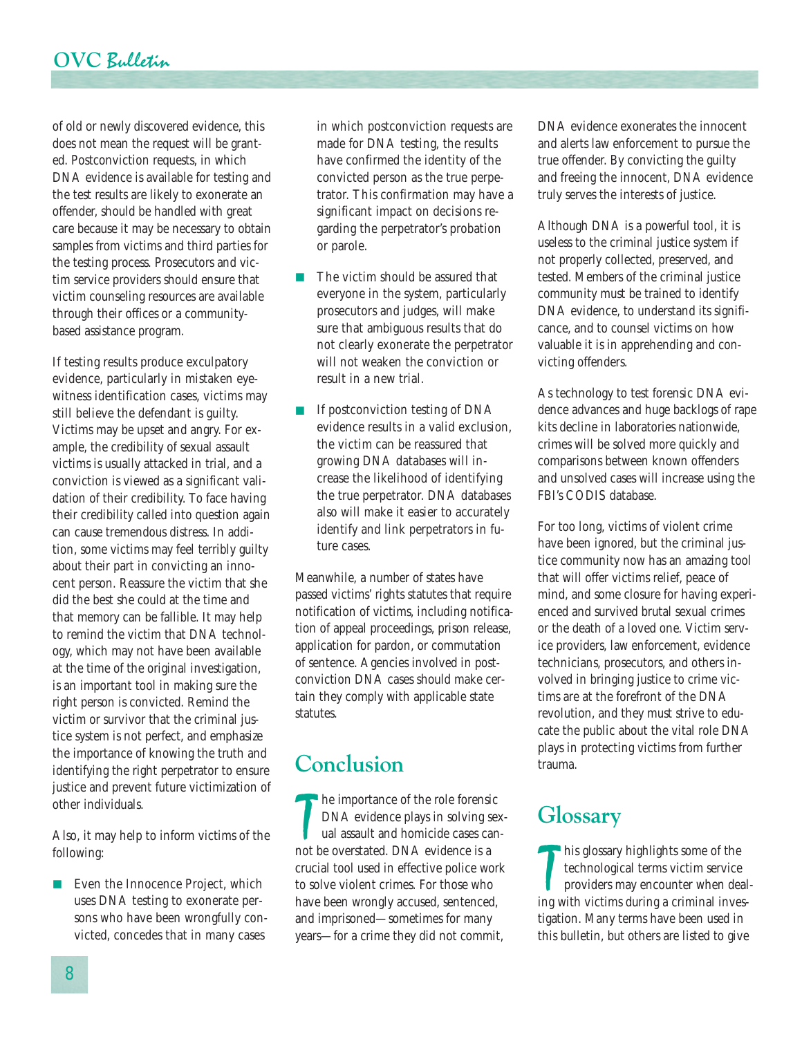#### **OVC** Bulletin

of old or newly discovered evidence, this does not mean the request will be granted. Postconviction requests, in which DNA evidence is available for testing and the test results are likely to exonerate an offender, should be handled with great care because it may be necessary to obtain samples from victims and third parties for the testing process. Prosecutors and victim service providers should ensure that victim counseling resources are available through their offices or a communitybased assistance program.

If testing results produce exculpatory evidence, particularly in mistaken eyewitness identification cases, victims may still believe the defendant is guilty. Victims may be upset and angry. For example, the credibility of sexual assault victims is usually attacked in trial, and a conviction is viewed as a significant validation of their credibility. To face having their credibility called into question again can cause tremendous distress. In addition, some victims may feel terribly guilty about their part in convicting an innocent person. Reassure the victim that she did the best she could at the time and that memory can be fallible. It may help to remind the victim that DNA technology, which may not have been available at the time of the original investigation, is an important tool in making sure the right person is convicted. Remind the victim or survivor that the criminal justice system is not perfect, and emphasize the importance of knowing the truth and identifying the right perpetrator to ensure justice and prevent future victimization of other individuals.

Also, it may help to inform victims of the following:

Even the Innocence Project, which uses DNA testing to exonerate persons who have been wrongfully convicted, concedes that in many cases

in which postconviction requests are made for DNA testing, the results have confirmed the identity of the convicted person as the true perpetrator. This confirmation may have a significant impact on decisions regarding the perpetrator's probation or parole.

- The victim should be assured that everyone in the system, particularly prosecutors and judges, will make sure that ambiguous results that do not clearly exonerate the perpetrator will not weaken the conviction or result in a new trial.
- If postconviction testing of DNA evidence results in a valid exclusion, the victim can be reassured that growing DNA databases will increase the likelihood of identifying the true perpetrator. DNA databases also will make it easier to accurately identify and link perpetrators in future cases.

Meanwhile, a number of states have passed victims' rights statutes that require notification of victims, including notification of appeal proceedings, prison release, application for pardon, or commutation of sentence. Agencies involved in postconviction DNA cases should make certain they comply with applicable state statutes.

# **Conclusion**

The importance of the role forensis<br>
DNA evidence plays in solving s<br>
ual assault and homicide cases cas<br>
not be overstated. DNA evidence is a he importance of the role forensic DNA evidence plays in solving sexual assault and homicide cases cancrucial tool used in effective police work to solve violent crimes. For those who have been wrongly accused, sentenced, and imprisoned—sometimes for many years—for a crime they did not commit,

DNA evidence exonerates the innocent and alerts law enforcement to pursue the true offender. By convicting the guilty and freeing the innocent, DNA evidence truly serves the interests of justice.

Although DNA is a powerful tool, it is useless to the criminal justice system if not properly collected, preserved, and tested. Members of the criminal justice community must be trained to identify DNA evidence, to understand its significance, and to counsel victims on how valuable it is in apprehending and convicting offenders.

As technology to test forensic DNA evidence advances and huge backlogs of rape kits decline in laboratories nationwide, crimes will be solved more quickly and comparisons between known offenders and unsolved cases will increase using the FBI's CODIS database.

For too long, victims of violent crime have been ignored, but the criminal justice community now has an amazing tool that will offer victims relief, peace of mind, and some closure for having experienced and survived brutal sexual crimes or the death of a loved one. Victim service providers, law enforcement, evidence technicians, prosecutors, and others involved in bringing justice to crime victims are at the forefront of the DNA revolution, and they must strive to educate the public about the vital role DNA plays in protecting victims from further trauma.

# **Glossary**

This glossary highlights some of the<br>technological terms victim service<br>providers may encounter when deal<br>ing with victims during a criminal inveshis glossary highlights some of the technological terms victim service providers may encounter when dealtigation. Many terms have been used in this bulletin, but others are listed to give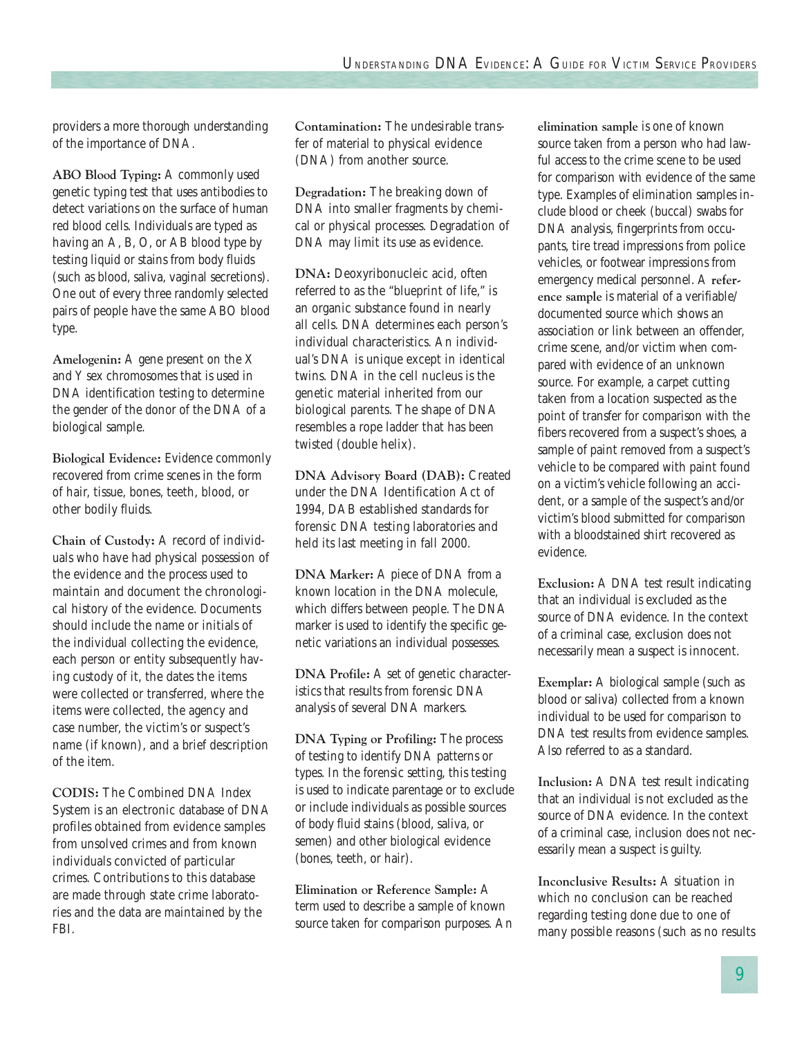providers a more thorough understanding of the importance of DNA.

**ABO Blood Typing:** A commonly used genetic typing test that uses antibodies to detect variations on the surface of human red blood cells. Individuals are typed as having an A, B, O, or AB blood type by testing liquid or stains from body fluids (such as blood, saliva, vaginal secretions). One out of every three randomly selected pairs of people have the same ABO blood type.

**Amelogenin:** A gene present on the X and Y sex chromosomes that is used in DNA identification testing to determine the gender of the donor of the DNA of a biological sample.

**Biological Evidence:** Evidence commonly recovered from crime scenes in the form of hair, tissue, bones, teeth, blood, or other bodily fluids.

**Chain of Custody:** A record of individuals who have had physical possession of the evidence and the process used to maintain and document the chronological history of the evidence. Documents should include the name or initials of the individual collecting the evidence, each person or entity subsequently having custody of it, the dates the items were collected or transferred, where the items were collected, the agency and case number, the victim's or suspect's name (if known), and a brief description of the item.

**CODIS:** The Combined DNA Index System is an electronic database of DNA profiles obtained from evidence samples from unsolved crimes and from known individuals convicted of particular crimes. Contributions to this database are made through state crime laboratories and the data are maintained by the FBI.

**Contamination:** The undesirable transfer of material to physical evidence (DNA) from another source.

**Degradation:** The breaking down of DNA into smaller fragments by chemical or physical processes. Degradation of DNA may limit its use as evidence.

**DNA:** Deoxyribonucleic acid, often referred to as the "blueprint of life," is an organic substance found in nearly all cells. DNA determines each person's individual characteristics. An individual's DNA is unique except in identical twins. DNA in the cell nucleus is the genetic material inherited from our biological parents. The shape of DNA resembles a rope ladder that has been twisted (double helix).

**DNA Advisory Board (DAB):** Created under the DNA Identification Act of 1994, DAB established standards for forensic DNA testing laboratories and held its last meeting in fall 2000.

**DNA Marker:** A piece of DNA from a known location in the DNA molecule, which differs between people. The DNA marker is used to identify the specific genetic variations an individual possesses.

**DNA Profile:** A set of genetic characteristics that results from forensic DNA analysis of several DNA markers.

**DNA Typing or Profiling:** The process of testing to identify DNA patterns or types. In the forensic setting, this testing is used to indicate parentage or to exclude or include individuals as possible sources of body fluid stains (blood, saliva, or semen) and other biological evidence (bones, teeth, or hair).

**Elimination or Reference Sample:** A term used to describe a sample of known source taken for comparison purposes. An

**elimination sample** is one of known source taken from a person who had lawful access to the crime scene to be used for comparison with evidence of the same type. Examples of elimination samples include blood or cheek (buccal) swabs for DNA analysis, fingerprints from occupants, tire tread impressions from police vehicles, or footwear impressions from emergency medical personnel. A **reference sample** is material of a verifiable/ documented source which shows an association or link between an offender, crime scene, and/or victim when compared with evidence of an unknown source. For example, a carpet cutting taken from a location suspected as the point of transfer for comparison with the fibers recovered from a suspect's shoes, a sample of paint removed from a suspect's vehicle to be compared with paint found on a victim's vehicle following an accident, or a sample of the suspect's and/or victim's blood submitted for comparison with a bloodstained shirt recovered as evidence.

**Exclusion:** A DNA test result indicating that an individual is excluded as the source of DNA evidence. In the context of a criminal case, exclusion does not necessarily mean a suspect is innocent.

**Exemplar:** A biological sample (such as blood or saliva) collected from a known individual to be used for comparison to DNA test results from evidence samples. Also referred to as a standard.

**Inclusion:** A DNA test result indicating that an individual is not excluded as the source of DNA evidence. In the context of a criminal case, inclusion does not necessarily mean a suspect is guilty.

**Inconclusive Results:** A situation in which no conclusion can be reached regarding testing done due to one of many possible reasons (such as no results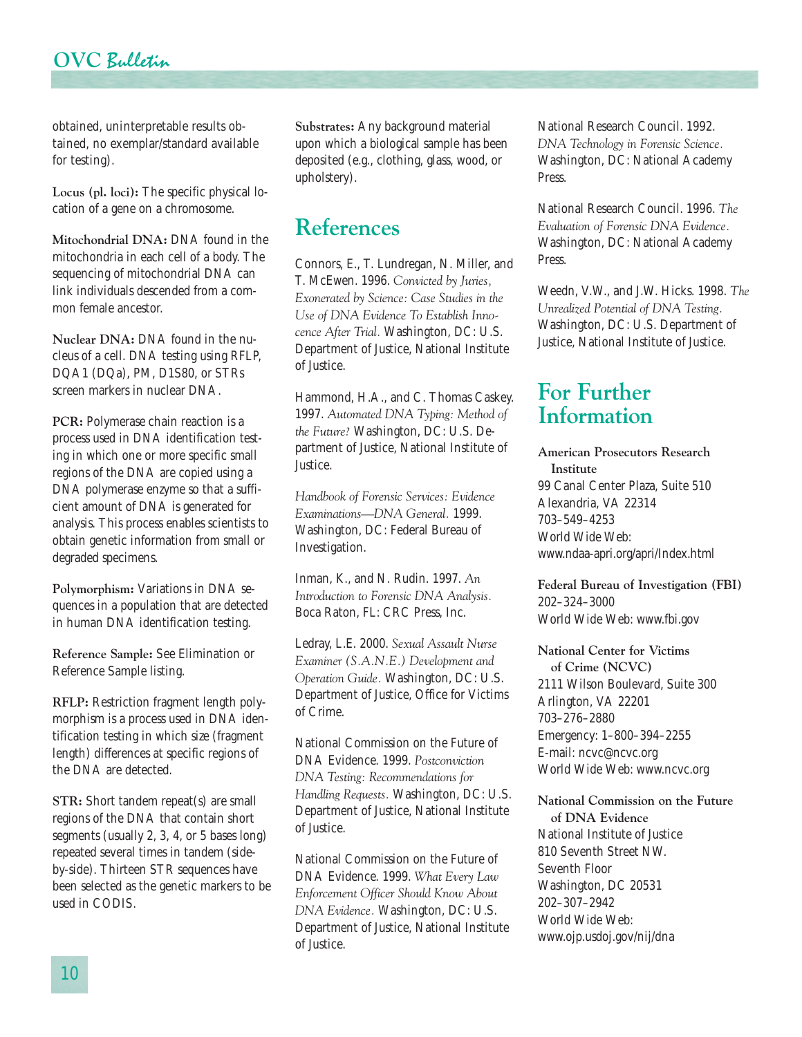#### **OVC** Bulletin

obtained, uninterpretable results obtained, no exemplar/standard available for testing).

**Locus (pl. loci):** The specific physical location of a gene on a chromosome.

**Mitochondrial DNA:** DNA found in the mitochondria in each cell of a body. The sequencing of mitochondrial DNA can link individuals descended from a common female ancestor.

**Nuclear DNA:** DNA found in the nucleus of a cell. DNA testing using RFLP, DQA1 (DQa), PM, D1S80, or STRs screen markers in nuclear DNA.

**PCR:** Polymerase chain reaction is a process used in DNA identification testing in which one or more specific small regions of the DNA are copied using a DNA polymerase enzyme so that a sufficient amount of DNA is generated for analysis. This process enables scientists to obtain genetic information from small or degraded specimens.

**Polymorphism:** Variations in DNA sequences in a population that are detected in human DNA identification testing.

**Reference Sample:** See Elimination or Reference Sample listing.

**RFLP:** Restriction fragment length polymorphism is a process used in DNA identification testing in which size (fragment length) differences at specific regions of the DNA are detected.

**STR:** Short tandem repeat(s) are small regions of the DNA that contain short segments (usually 2, 3, 4, or 5 bases long) repeated several times in tandem (sideby-side). Thirteen STR sequences have been selected as the genetic markers to be used in CODIS.

**Substrates:** Any background material upon which a biological sample has been deposited (e.g., clothing, glass, wood, or upholstery).

### **References**

Connors, E., T. Lundregan, N. Miller, and T. McEwen. 1996. *Convicted by Juries, Exonerated by Science: Case Studies in the Use of DNA Evidence To Establish Innocence After Trial.* Washington, DC: U.S. Department of Justice, National Institute of Justice.

Hammond, H.A., and C. Thomas Caskey. 1997. *Automated DNA Typing: Method of the Future?* Washington, DC: U.S. Department of Justice, National Institute of Justice.

*Handbook of Forensic Services: Evidence Examinations—DNA General.* 1999. Washington, DC: Federal Bureau of Investigation.

Inman, K., and N. Rudin. 1997. *An Introduction to Forensic DNA Analysis.* Boca Raton, FL: CRC Press, Inc.

Ledray, L.E. 2000. *Sexual Assault Nurse Examiner (S.A.N.E.) Development and Operation Guide.* Washington, DC: U.S. Department of Justice, Office for Victims of Crime.

National Commission on the Future of DNA Evidence. 1999. *Postconviction DNA Testing: Recommendations for Handling Requests.* Washington, DC: U.S. Department of Justice, National Institute of Justice.

National Commission on the Future of DNA Evidence. 1999. *What Every Law Enforcement Officer Should Know About DNA Evidence.* Washington, DC: U.S. Department of Justice, National Institute of Justice.

National Research Council. 1992. *DNA Technology in Forensic Science.* Washington, DC: National Academy Press.

National Research Council. 1996. *The Evaluation of Forensic DNA Evidence.* Washington, DC: National Academy Press.

Weedn, V.W., and J.W. Hicks. 1998. *The Unrealized Potential of DNA Testing.* Washington, DC: U.S. Department of Justice, National Institute of Justice.

### **For Further Information**

**American Prosecutors Research Institute** 99 Canal Center Plaza, Suite 510 Alexandria, VA 22314 703–549–4253 World Wide Web: www.ndaa-apri.org/apri/Index.html

**Federal Bureau of Investigation (FBI)** 202–324–3000 World Wide Web: www.fbi.gov

**National Center for Victims of Crime (NCVC)** 2111 Wilson Boulevard, Suite 300 Arlington, VA 22201 703–276–2880 Emergency: 1–800–394–2255 E-mail: ncvc@ncvc.org World Wide Web: www.ncvc.org

**National Commission on the Future of DNA Evidence** National Institute of Justice 810 Seventh Street NW. Seventh Floor Washington, DC 20531 202–307–2942 World Wide Web: www.ojp.usdoj.gov/nij/dna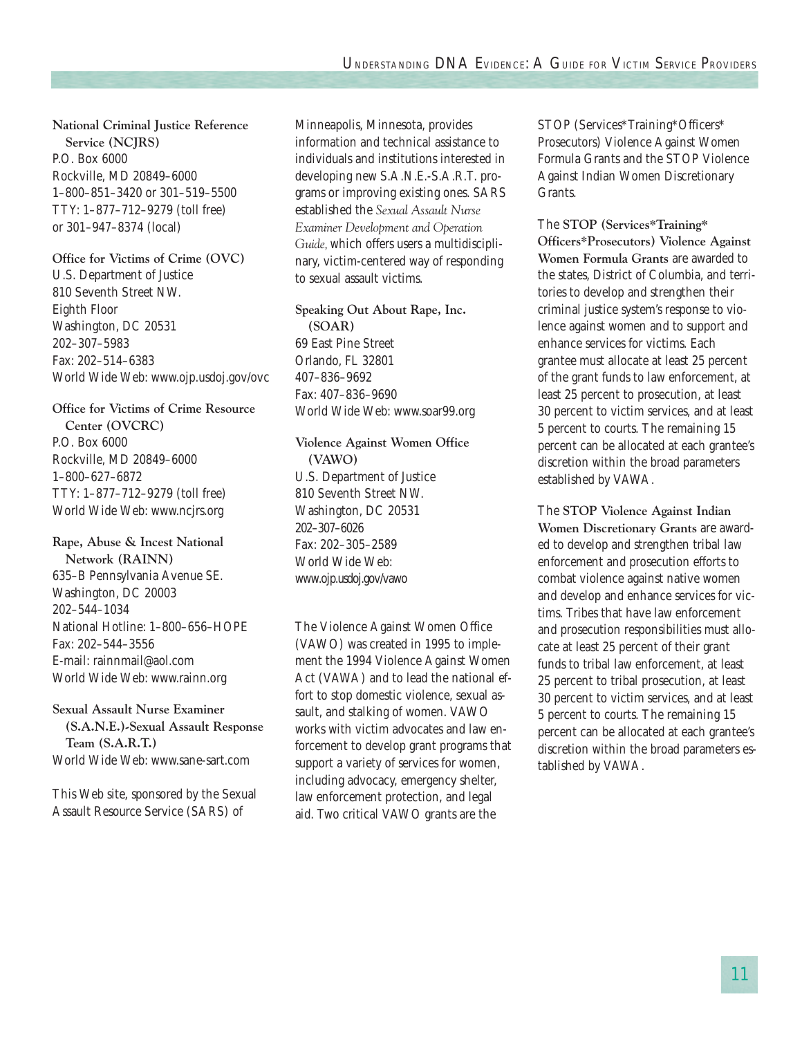**National Criminal Justice Reference Service (NCJRS)** P.O. Box 6000 Rockville, MD 20849–6000 1–800–851–3420 or 301–519–5500 TTY: 1–877–712–9279 (toll free) or 301–947–8374 (local)

**Office for Victims of Crime (OVC)** U.S. Department of Justice 810 Seventh Street NW. Eighth Floor Washington, DC 20531 202–307–5983 Fax: 202–514–6383 World Wide Web: www.ojp.usdoj.gov/ovc

**Office for Victims of Crime Resource Center (OVCRC)** P.O. Box 6000 Rockville, MD 20849–6000 1–800–627–6872 TTY: 1–877–712–9279 (toll free) World Wide Web: www.ncjrs.org

**Rape, Abuse & Incest National Network (RAINN)** 635–B Pennsylvania Avenue SE. Washington, DC 20003 202–544–1034 National Hotline: 1–800–656–HOPE Fax: 202–544–3556 E-mail: rainnmail@aol.com World Wide Web: www.rainn.org

**Sexual Assault Nurse Examiner (S.A.N.E.)-Sexual Assault Response Team (S.A.R.T.)** World Wide Web: www.sane-sart.com

This Web site, sponsored by the Sexual Assault Resource Service (SARS) of

Minneapolis, Minnesota, provides information and technical assistance to individuals and institutions interested in developing new S.A.N.E.-S.A.R.T. programs or improving existing ones. SARS established the *Sexual Assault Nurse Examiner Development and Operation Guide,*which offers users a multidisciplinary, victim-centered way of responding to sexual assault victims.

**Speaking Out About Rape, Inc. (SOAR)** 69 East Pine Street Orlando, FL 32801 407–836–9692 Fax: 407–836–9690 World Wide Web: www.soar99.org

**Violence Against Women Office (VAWO)** U.S. Department of Justice 810 Seventh Street NW. Washington, DC 20531 202–307–6026 Fax: 202–305–2589 World Wide Web: www.ojp.usdoj.gov/vawo

The Violence Against Women Office (VAWO) was created in 1995 to implement the 1994 Violence Against Women Act (VAWA) and to lead the national effort to stop domestic violence, sexual assault, and stalking of women. VAWO works with victim advocates and law enforcement to develop grant programs that support a variety of services for women, including advocacy, emergency shelter, law enforcement protection, and legal aid. Two critical VAWO grants are the

STOP (Services\*Training\*Officers\* Prosecutors) Violence Against Women Formula Grants and the STOP Violence Against Indian Women Discretionary Grants.

The **STOP (Services\*Training\* Officers\*Prosecutors) Violence Against Women Formula Grants** are awarded to the states, District of Columbia, and territories to develop and strengthen their criminal justice system's response to violence against women and to support and enhance services for victims. Each grantee must allocate at least 25 percent of the grant funds to law enforcement, at least 25 percent to prosecution, at least 30 percent to victim services, and at least 5 percent to courts. The remaining 15 percent can be allocated at each grantee's discretion within the broad parameters established by VAWA.

The **STOP Violence Against Indian Women Discretionary Grants** are awarded to develop and strengthen tribal law enforcement and prosecution efforts to combat violence against native women and develop and enhance services for victims. Tribes that have law enforcement and prosecution responsibilities must allocate at least 25 percent of their grant funds to tribal law enforcement, at least 25 percent to tribal prosecution, at least 30 percent to victim services, and at least 5 percent to courts. The remaining 15 percent can be allocated at each grantee's discretion within the broad parameters established by VAWA.